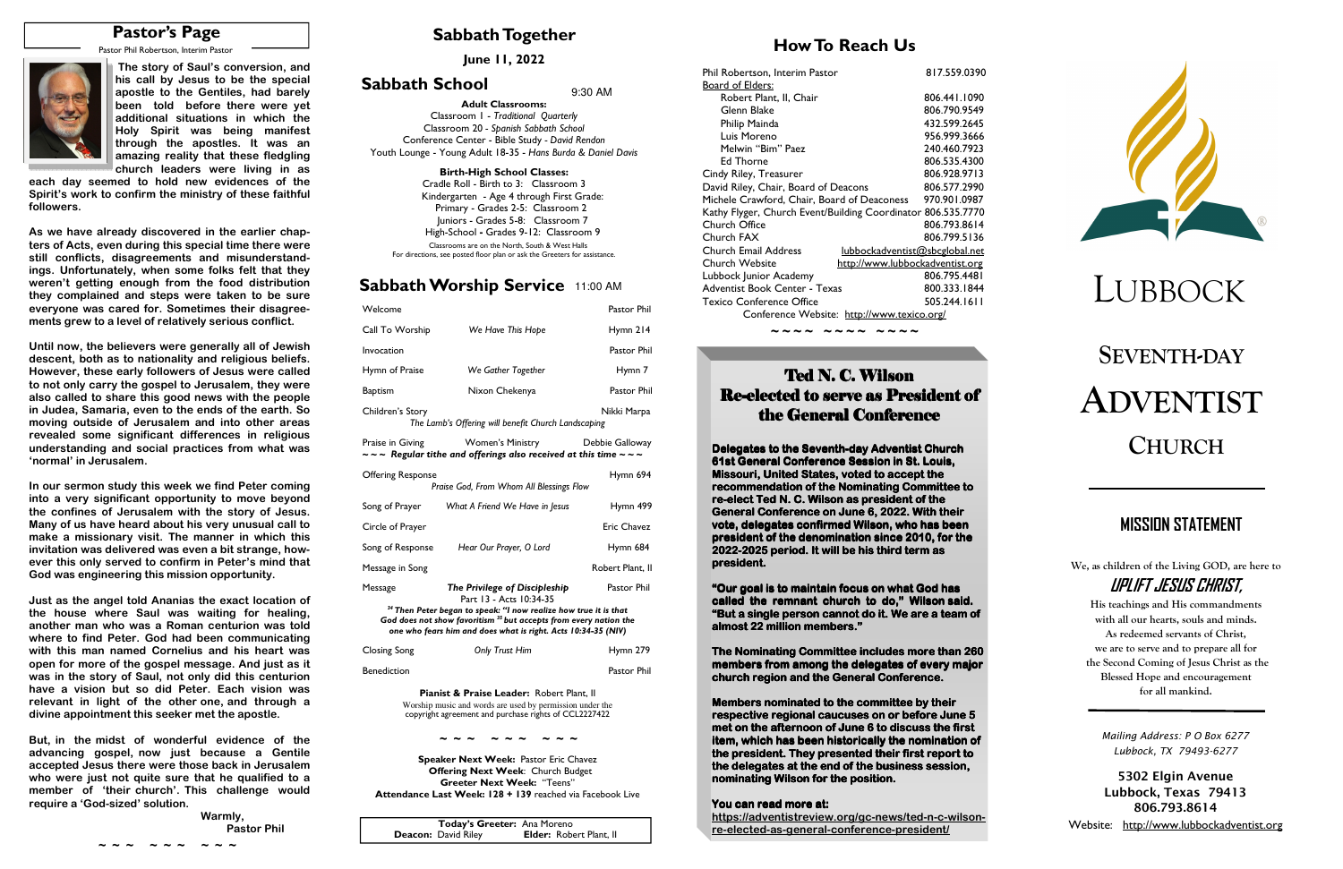# **SEVENTH-DAYADVENTISTCHURCH**

## **Sabbath Together**

## **How To Reach Us**

## **Sabbath Worship Service** 11:00 AM

**June 11, 2022** 

# **Sabbath School**  $9:30$  AM



| Welcome                                                                                                                                                                                                                      |                                                                                                                      | Pastor Phil      |
|------------------------------------------------------------------------------------------------------------------------------------------------------------------------------------------------------------------------------|----------------------------------------------------------------------------------------------------------------------|------------------|
| Call To Worship                                                                                                                                                                                                              | We Have This Hope                                                                                                    | Hymn 214         |
| Invocation                                                                                                                                                                                                                   |                                                                                                                      | Pastor Phil      |
| Hymn of Praise                                                                                                                                                                                                               | We Gather Together                                                                                                   | Hymn 7           |
| <b>Baptism</b>                                                                                                                                                                                                               | Nixon Chekenya                                                                                                       | Pastor Phil      |
| Children's Story                                                                                                                                                                                                             | The Lamb's Offering will benefit Church Landscaping                                                                  | Nikki Marpa      |
| Praise in Giving                                                                                                                                                                                                             | <b>Women's Ministry</b><br>$\sim$ $\sim$ Regular tithe and offerings also received at this time $\sim$ $\sim$ $\sim$ | Debbie Galloway  |
| <b>Offering Response</b>                                                                                                                                                                                                     | Praise God, From Whom All Blessings Flow                                                                             | Hymn 694         |
| Song of Prayer                                                                                                                                                                                                               | What A Friend We Have in Jesus                                                                                       | Hymn 499         |
| Circle of Prayer                                                                                                                                                                                                             |                                                                                                                      | Eric Chavez      |
| Song of Response                                                                                                                                                                                                             | Hear Our Prayer, O Lord                                                                                              | Hymn 684         |
| Message in Song                                                                                                                                                                                                              |                                                                                                                      | Robert Plant, II |
| Message                                                                                                                                                                                                                      | The Privilege of Discipleship<br>Part 13 - Acts 10:34-35                                                             | Pastor Phil      |
| <sup>34</sup> Then Peter began to speak: "I now realize how true it is that<br>God does not show favoritism <sup>35</sup> but accepts from every nation the<br>one who fears him and does what is right. Acts 10:34-35 (NIV) |                                                                                                                      |                  |
| <b>Closing Song</b>                                                                                                                                                                                                          | <b>Only Trust Him</b>                                                                                                | Hymn 279         |
| <b>Benediction</b>                                                                                                                                                                                                           |                                                                                                                      | Pastor Phil      |
|                                                                                                                                                                                                                              |                                                                                                                      |                  |

**Pianist & Praise Leader:** Robert Plant, II Worship music and words are used by permission under the copyright agreement and purchase rights of CCL2227422

**Speaker Next Week:** Pastor Eric Chavez  **Offering Next Week**: Church Budget **Greeter Next Week:** "Teens" **Attendance Last Week: 128 + 139** reached via Facebook Live **We, as children of the Living GOD, are here to UPLIFT JESUS CHRIST,** 

**His teachings and His commandments with all our hearts, souls and minds. As redeemed servants of Christ, we are to serve and to prepare all for the Second Coming of Jesus Christ as the Blessed Hope and encouragement for all mankind.** 

# **MISSION STATEMENT**

**Adult Classrooms:** Classroom 1 - *Traditional Quarterly*  Classroom 20 *- Spanish Sabbath School*  Conference Center - Bible Study *- David Rendon* Youth Lounge - Young Adult 18-35 - *Hans Burda & Daniel Davis*

#### **Birth-High School Classes:**

 Cradle Roll - Birth to 3: Classroom 3 Kindergarten - Age 4 through First Grade: Primary - Grades 2-5: Classroom 2 Juniors - Grades 5-8: Classroom 7 High-School **-** Grades 9-12: Classroom 9Classrooms are on the North, South & West Halls

> **The Nominating Committee includes more than 260 members from among the delegates of every major** church region and the General Conference.

**Members nominated to the committee by their respective regional caucuses on or before June 5 met on the afternoon of June 6 to discuss the first item, which has been historically the nomination ofthe president. They presented their first report to the delegates at the end of the business session, nominating Wilson for the position.** 

#### **You can read more at:**

For directions, see posted floor plan or ask the Greeters for assistance.

| Today's Greeter: Ana Moreno |                                |
|-----------------------------|--------------------------------|
| <b>Deacon:</b> David Riley  | <b>Elder: Robert Plant, II</b> |

# **Pastor's Page**

Pastor Phil Robertson, Interim Pastor



#### **~ ~ ~ ~ ~ ~ ~ ~ ~**

| Phil Robertson, Interim Pastor<br>Board of Elders:                                                                                                                                                                            | 817.559.0390 |
|-------------------------------------------------------------------------------------------------------------------------------------------------------------------------------------------------------------------------------|--------------|
| Robert Plant, II, Chair                                                                                                                                                                                                       | 806.441.1090 |
| Glenn Blake                                                                                                                                                                                                                   | 806.790.9549 |
| Philip Mainda                                                                                                                                                                                                                 | 432.599.2645 |
| Luis Moreno                                                                                                                                                                                                                   | 956.999.3666 |
| Melwin "Bim" Paez                                                                                                                                                                                                             | 240.460.7923 |
| Ed Thorne                                                                                                                                                                                                                     | 806.535.4300 |
| Cindy Riley, Treasurer                                                                                                                                                                                                        | 806.928.9713 |
| David Riley, Chair, Board of Deacons                                                                                                                                                                                          | 806.577.2990 |
| Michele Crawford, Chair, Board of Deaconess                                                                                                                                                                                   | 970.901.0987 |
| Kathy Flyger, Church Event/Building Coordinator 806.535.7770                                                                                                                                                                  |              |
| Church Office                                                                                                                                                                                                                 | 806.793.8614 |
| Church FAX                                                                                                                                                                                                                    | 806.799.5136 |
| lubbockadventist@sbcglobal.net<br>Church Email Address                                                                                                                                                                        |              |
| <b>Church Website</b><br>http://www.lubbockadventist.org                                                                                                                                                                      |              |
| Lubbock Junior Academy                                                                                                                                                                                                        | 806.795.4481 |
| Adventist Book Center - Texas                                                                                                                                                                                                 | 800.333.1844 |
| <b>Texico Conference Office</b>                                                                                                                                                                                               | 505.244.1611 |
| $C_1$ , $C_2$ , $C_3$ , $C_4$ , $C_5$ , $C_6$ , $C_7$ , $C_8$ , $C_9$ , $C_9$ , $C_1$ , $C_2$ , $C_3$ , $C_4$ , $C_5$ , $C_7$ , $C_8$ , $C_9$ , $C_9$ , $C_9$ , $C_9$ , $C_9$ , $C_9$ , $C_9$ , $C_9$ , $C_9$ , $C_9$ , $C_9$ |              |

Conference Website: http://www.texico.org/*~ ~ ~ ~ ~ ~ ~ ~ ~ ~ ~ ~*

# Ted N. C. Wilson Re-elected to serve as President of the General Conference

**Delegates to the Seventh- Delegates Seventh-day Adventist Church day Adventist Church 61st General Conference Session in St. Louis, Missouri, United States, voted to accept the recommendation of the Nominating Committee to** re-elect Ted N. C. Wilson as president of the **General Conference on June 6, 2022. With their vote, delegates confirmed Wilson, who has been president of the denomination since 2010, for the 2022-2025 period. It will be his third term as 2025 period. It will be his third term as president. president.**

 **Warmly, Pastor Phil Pastor Phil**  **"Our goal is to maintain focus on what God has called the remnant church to do," Wilson said. "But a single person cannot do it. We are a team ofalmost 22 million members." members."**

 **https://adventistreview.org/gc-news/ted-n-c-wilsonre-elected-as-general-conference-president/** 



 **The story of Saul's conversion, and his call by Jesus to be the special apostle to the Gentiles, had barely been told before there were yet additional situations in which the Holy Spirit was being manifest through the apostles. It was an amazing reality that these fledgling church leaders were living in as** 

 **each day seemed to hold new evidences of the Spirit's work to confirm the ministry of these faithful followers.** 

**As we have already discovered in the earlier chapters of Acts, even during this special time there were still conflicts, disagreements and misunderstandings. Unfortunately, when some folks felt that they weren't getting enough from the food distribution they complained and steps were taken to be sure everyone was cared for. Sometimes their disagreements grew to a level of relatively serious conflict.** 

**Until now, the believers were generally all of Jewish descent, both as to nationality and religious beliefs. However, these early followers of Jesus were called to not only carry the gospel to Jerusalem, they were also called to share this good news with the people in Judea, Samaria, even to the ends of the earth. So moving outside of Jerusalem and into other areas revealed some significant differences in religious understanding and social practices from what was 'normal' in Jerusalem.** 

**In our sermon study this week we find Peter coming into a very significant opportunity to move beyond the confines of Jerusalem with the story of Jesus. Many of us have heard about his very unusual call to make a missionary visit. The manner in which this invitation was delivered was even a bit strange, however this only served to confirm in Peter's mind that God was engineering this mission opportunity.** 

**Just as the angel told Ananias the exact location of the house where Saul was waiting for healing, another man who was a Roman centurion was told where to find Peter. God had been communicating with this man named Cornelius and his heart was open for more of the gospel message. And just as it was in the story of Saul, not only did this centurion have a vision but so did Peter. Each vision was relevant in light of the other one, and through a divine appointment this seeker met the apostle.** 

**But, in the midst of wonderful evidence of the advancing gospel, now just because a Gentile accepted Jesus there were those back in Jerusalem who were just not quite sure that he qualified to a member of 'their church'. This challenge would require a 'God-sized' solution.** 

*Mailing Address: P O Box 6277 Lubbock, TX 79493-6277* 

**5302 Elgin Avenue Lubbock, Texas 79413 806.793.8614** 

Website: http://www.lubbockadventist.org

**~ ~ ~ ~ ~ ~ ~ ~ ~**